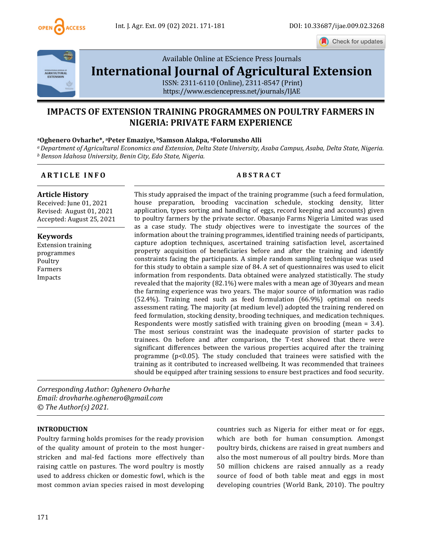

Check for updates



Available Online at EScience Press Journals

# **[International Journal of Agricultural Extension](http://www.escijournals.net/IJER)**

ISSN: 2311-6110 (Online), 2311-8547 (Print) <https://www.esciencepress.net/journals/IJAE>

## **IMPACTS OF EXTENSION TRAINING PROGRAMMES ON POULTRY FARMERS IN NIGERIA: PRIVATE FARM EXPERIENCE**

#### **<sup>a</sup>Oghenero Ovharhe\*, <sup>a</sup>Peter Emaziye, bSamson Alakpa, <sup>a</sup>Folorunsho Alli**

*<sup>a</sup>Department of Agricultural Economics and Extension, Delta State University, Asaba Campus, Asaba, Delta State, Nigeria. <sup>b</sup> Benson Idahosa University, Benin City, Edo State, Nigeria.*

#### **A R T I C L E I N F O A B S T R A C T**

**Article History**

Received: June 01, 2021 Revised: August 01, 2021 Accepted: August 25, 2021

**Keywords** Extension training programmes Poultry Farmers Impacts

This study appraised the impact of the training programme (such a feed formulation, house preparation, brooding vaccination schedule, stocking density, litter application, types sorting and handling of eggs, record keeping and accounts) given to poultry farmers by the private sector. Obasanjo Farms Nigeria Limited was used as a case study. The study objectives were to investigate the sources of the information about the training programmes, identified training needs of participants, capture adoption techniques, ascertained training satisfaction level, ascertained property acquisition of beneficiaries before and after the training and identify constraints facing the participants. A simple random sampling technique was used for this study to obtain a sample size of 84. A set of questionnaires was used to elicit information from respondents. Data obtained were analyzed statistically. The study revealed that the majority (82.1%) were males with a mean age of 30years and mean the farming experience was two years. The major source of information was radio (52.4%). Training need such as feed formulation (66.9%) optimal on needs assessment rating. The majority (at medium level) adopted the training rendered on feed formulation, stocking density, brooding techniques, and medication techniques. Respondents were mostly satisfied with training given on brooding (mean = 3.4). The most serious constraint was the inadequate provision of starter packs to trainees. On before and after comparison, the T-test showed that there were significant differences between the various properties acquired after the training programme ( $p<0.05$ ). The study concluded that trainees were satisfied with the training as it contributed to increased wellbeing. It was recommended that trainees should be equipped after training sessions to ensure best practices and food security.

*Corresponding Author: Oghenero Ovharhe Email: drovharhe.oghenero@gmail.com © The Author(s) 2021.*

#### **INTRODUCTION**

Poultry farming holds promises for the ready provision of the quality amount of protein to the most hungerstricken and mal-fed factions more effectively than raising cattle on pastures. The word poultry is mostly used to address chicken or domestic fowl, which is the most common avian species raised in most developing countries such as Nigeria for either meat or for eggs, which are both for human consumption. Amongst poultry birds, chickens are raised in great numbers and also the most numerous of all poultry birds. More than 50 million chickens are raised annually as a ready source of food of both table meat and eggs in most developing countries (World Bank, 2010). The poultry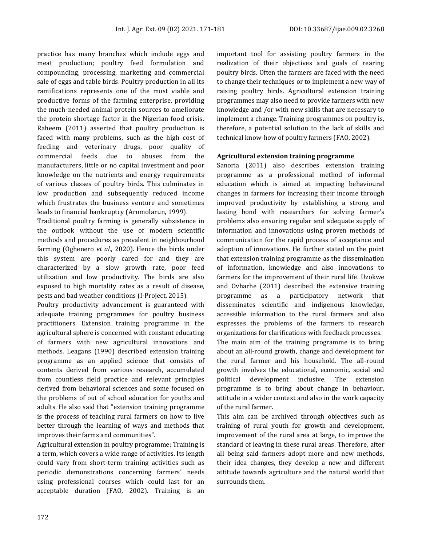practice has many branches which include eggs and meat production; poultry feed formulation and compounding, processing, marketing and commercial sale of eggs and table birds. Poultry production in all its ramifications represents one of the most viable and productive forms of the farming enterprise, providing the much-needed animal protein sources to ameliorate the protein shortage factor in the Nigerian food crisis. Raheem (2011) asserted that poultry production is faced with many problems, such as the high cost of feeding and veterinary drugs, poor quality of commercial feeds due to abuses from the manufacturers, little or no capital investment and poor knowledge on the nutrients and energy requirements of various classes of poultry birds. This culminates in low production and subsequently reduced income which frustrates the business venture and sometimes leads to financial bankruptcy (Aromolarun, 1999).

Traditional poultry farming is generally subsistence in the outlook without the use of modern scientific methods and procedures as prevalent in neighbourhood farming (Oghenero *et al.*, 2020). Hence the birds under this system are poorly cared for and they are characterized by a slow growth rate, poor feed utilization and low productivity. The birds are also exposed to high mortality rates as a result of disease, pests and bad weather conditions (I-Project, 2015).

Poultry productivity advancement is guaranteed with adequate training programmes for poultry business practitioners. Extension training programme in the agricultural sphere is concerned with constant educating of farmers with new agricultural innovations and methods. Leagans (1990) described extension training programme as an applied science that consists of contents derived from various research, accumulated from countless field practice and relevant principles derived from behavioral sciences and some focused on the problems of out of school education for youths and adults. He also said that "extension training programme is the process of teaching rural farmers on how to live better through the learning of ways and methods that improves their farms and communities".

Agricultural extension in poultry programme: Training is a term, which covers a wide range of activities. Its length could vary from short-term training activities such as periodic demonstrations concerning farmers' needs using professional courses which could last for an acceptable duration (FAO, 2002). Training is an important tool for assisting poultry farmers in the realization of their objectives and goals of rearing poultry birds. Often the farmers are faced with the need to change their techniques or to implement a new way of raising poultry birds. Agricultural extension training programmes may also need to provide farmers with new knowledge and /or with new skills that are necessary to implement a change. Training programmes on poultry is, therefore, a potential solution to the lack of skills and technical know-how of poultry farmers (FAO, 2002).

#### **Agricultural extension training programme**

Sanoria (2011) also describes extension training programme as a professional method of informal education which is aimed at impacting behavioural changes in farmers for increasing their income through improved productivity by establishing a strong and lasting bond with researchers for solving farmer's problems also ensuring regular and adequate supply of information and innovations using proven methods of communication for the rapid process of acceptance and adoption of innovations. He further stated on the point that extension training programme as the dissemination of information, knowledge and also innovations to farmers for the improvement of their rural life. Uzokwe and Ovharhe (2011) described the extensive training programme as a participatory network that disseminates scientific and indigenous knowledge, accessible information to the rural farmers and also expresses the problems of the farmers to research organizations for clarifications with feedback processes. The main aim of the training programme is to bring about an all-round growth, change and development for the rural farmer and his household. The all-round growth involves the educational, economic, social and political development inclusive. The extension programme is to bring about change in behaviour, attitude in a wider context and also in the work capacity of the rural farmer.

This aim can be archived through objectives such as training of rural youth for growth and development, improvement of the rural area at large, to improve the standard of leaving in these rural areas. Therefore, after all being said farmers adopt more and new methods, their idea changes, they develop a new and different attitude towards agriculture and the natural world that surrounds them.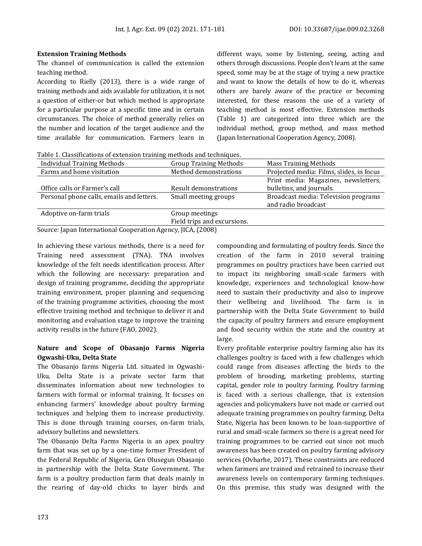#### **Extension Training Methods**

The channel of communication is called the extension teaching method.

According to Rielly (2013), there is a wide range of training methods and aids available for utilization, it is not a question of either-or but which method is appropriate for a particular purpose at a specific time and in certain circumstances. The choice of method generally relies on the number and location of the target audience and the time available for communication. Farmers learn in

different ways, some by listening, seeing, acting and others through discussions. People don't learn at the same speed, some may be at the stage of trying a new practice and want to know the details of how to do it, whereas others are barely aware of the practice or becoming interested, for these reasons the use of a variety of teaching method is most effective. Extension methods (Table 1) are categorized into three which are the individual method, group method, and mass method (Japan International Cooperation Agency, 2008).

Table 1. Classifications of extension training methods and techniques.

| <b>Individual Training Methods</b>                        | <b>Group Training Methods</b> | <b>Mass Training Methods</b>                                     |
|-----------------------------------------------------------|-------------------------------|------------------------------------------------------------------|
| Farms and home visitation                                 | Method demonstrations         | Projected media: Films, slides, in focus                         |
| Office calls or Farmer's call                             | Result demonstrations         | Print media: Magazines, newsletters,<br>bulletins, and journals. |
| Personal phone calls, emails and letters.                 | Small meeting groups          | Broadcast media: Television programs<br>and radio broadcast      |
| Adoptive on-farm trials                                   | Group meetings                |                                                                  |
|                                                           | Field trips and excursions.   |                                                                  |
| Course Japan International Cooperation Agency IICA (2000) |                               |                                                                  |

Source: Japan International Cooperation Agency, JICA, (2008)

In achieving these various methods, there is a need for Training need assessment (TNA). TNA involves knowledge of the felt needs identification process. After which the following are necessary: preparation and design of training programme, deciding the appropriate training environment, proper planning and sequencing of the training programme activities, choosing the most effective training method and technique to deliver it and monitoring and evaluation stage to improve the training activity results in the future (FAO, 2002).

### **Nature and Scope of Obasanjo Farms Nigeria Ogwashi-Uku, Delta State**

The Obasanjo farms Nigeria Ltd. situated in Ogwashi-Uku, Delta State is a private sector farm that disseminates information about new technologies to farmers with formal or informal training. It focuses on enhancing farmers' knowledge about poultry farming techniques and helping them to increase productivity. This is done through training courses, on-farm trials, advisory bulletins and newsletters.

The Obasanjo Delta Farms Nigeria is an apex poultry farm that was set up by a one-time former President of the Federal Republic of Nigeria, Gen Olusegun Obasanjo in partnership with the Delta State Government. The farm is a poultry production farm that deals mainly in the rearing of day-old chicks to layer birds and

compounding and formulating of poultry feeds. Since the creation of the farm in 2010 several training programmes on poultry practices have been carried out to impact its neighboring small-scale farmers with knowledge, experiences and technological know-how need to sustain their productivity and also to improve their wellbeing and livelihood. The farm is in partnership with the Delta State Government to build the capacity of poultry farmers and ensure employment and food security within the state and the country at large.

Every profitable enterprise poultry farming also has its challenges poultry is faced with a few challenges which could range from diseases affecting the birds to the problem of brooding, marketing problems, starting capital, gender role in poultry farming. Poultry farming is faced with a serious challenge, that is extension agencies and policymakers have not made or carried out adequate training programmes on poultry farming. Delta State, Nigeria has been known to be loan-supportive of rural and small-scale farmers so there is a great need for training programmes to be carried out since not much awareness has been created on poultry farming advisory services (Ovharhe, 2017). These constraints are reduced when farmers are trained and retrained to increase their awareness levels on contemporary farming techniques. On this premise, this study was designed with the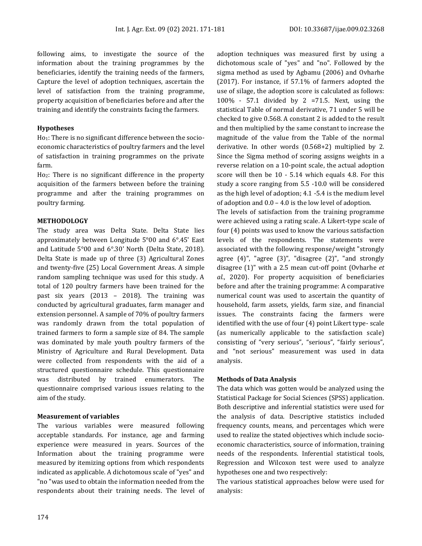following aims, to investigate the source of the information about the training programmes by the beneficiaries, identify the training needs of the farmers, Capture the level of adoption techniques, ascertain the level of satisfaction from the training programme, property acquisition of beneficiaries before and after the training and identify the constraints facing the farmers.

#### **Hypotheses**

Ho1: There is no significant difference between the socioeconomic characteristics of poultry farmers and the level of satisfaction in training programmes on the private farm.

Ho2: There is no significant difference in the property acquisition of the farmers between before the training programme and after the training programmes on poultry farming.

#### **METHODOLOGY**

The study area was Delta State. Delta State lies approximately between Longitude 5°00 and 6°.45' East and Latitude 5°00 and 6°.30' North (Delta State, 2018). Delta State is made up of three (3) Agricultural Zones and twenty-five (25) Local Government Areas. A simple random sampling technique was used for this study. A total of 120 poultry farmers have been trained for the past six years (2013 – 2018). The training was conducted by agricultural graduates, farm manager and extension personnel. A sample of 70% of poultry farmers was randomly drawn from the total population of trained farmers to form a sample size of 84. The sample was dominated by male youth poultry farmers of the Ministry of Agriculture and Rural Development. Data were collected from respondents with the aid of a structured questionnaire schedule. This questionnaire was distributed by trained enumerators. The questionnaire comprised various issues relating to the aim of the study.

#### **Measurement of variables**

The various variables were measured following acceptable standards. For instance, age and farming experience were measured in years. Sources of the Information about the training programme were measured by itemizing options from which respondents indicated as applicable. A dichotomous scale of "yes" and "no "was used to obtain the information needed from the respondents about their training needs. The level of adoption techniques was measured first by using a dichotomous scale of "yes" and "no". Followed by the sigma method as used by Agbamu (2006) and Ovharhe (2017). For instance, if 57.1% of farmers adopted the use of silage, the adoption score is calculated as follows: 100% - 57.1 divided by 2 =71.5. Next, using the statistical Table of normal derivative, 71 under 5 will be checked to give 0.568. A constant 2 is added to the result and then multiplied by the same constant to increase the magnitude of the value from the Table of the normal derivative. In other words (0.568+2) multiplied by 2. Since the Sigma method of scoring assigns weights in a reverse relation on a 10-point scale, the actual adoption score will then be 10 - 5.14 which equals 4.8. For this study a score ranging from 5.5 -10.0 will be considered as the high level of adoption; 4.1 -5.4 is the medium level of adoption and 0.0 – 4.0 is the low level of adoption.

The levels of satisfaction from the training programme were achieved using a rating scale. A Likert-type scale of four (4) points was used to know the various satisfaction levels of the respondents. The statements were associated with the following response/weight "strongly agree (4)", "agree (3)", "disagree (2)", "and strongly disagree (1)" with a 2.5 mean cut-off point (Ovharhe *et al.*, 2020). For property acquisition of beneficiaries before and after the training programme: A comparative numerical count was used to ascertain the quantity of household, farm assets, yields, farm size, and financial issues. The constraints facing the farmers were identified with the use of four (4) point Likert type- scale (as numerically applicable to the satisfaction scale) consisting of "very serious", "serious", "fairly serious", and "not serious" measurement was used in data analysis.

#### **Methods of Data Analysis**

The data which was gotten would be analyzed using the Statistical Package for Social Sciences (SPSS) application. Both descriptive and inferential statistics were used for the analysis of data. Descriptive statistics included frequency counts, means, and percentages which were used to realize the stated objectives which include socioeconomic characteristics, source of information, training needs of the respondents. Inferential statistical tools, Regression and Wilcoxon test were used to analyze hypotheses one and two respectively:

The various statistical approaches below were used for analysis: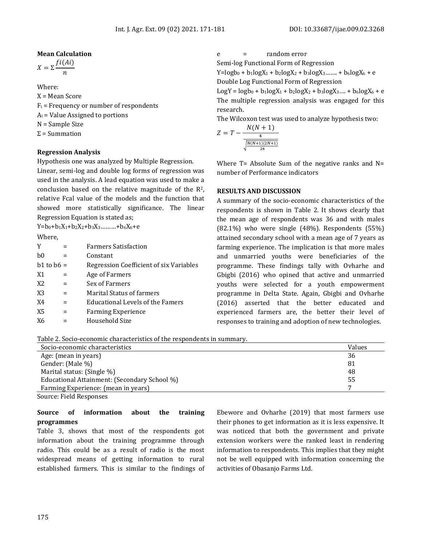#### **Mean Calculation**

 $X = \sum \frac{f_i(A_i)}{A_i}$  $\boldsymbol{n}$ 

Where:

X = Mean Score  $F_i$  = Frequency or number of respondents  $A_i$  = Value Assigned to portions N = Sample Size  $\Sigma$  = Summation

#### **Regression Analysis**

Hypothesis one was analyzed by Multiple Regression.

Linear, semi-log and double log forms of regression was used in the analysis. A lead equation was used to make a conclusion based on the relative magnitude of the R2, relative Fcal value of the models and the function that showed more statistically significance. The linear Regression Equation is stated as;

 $Y=b_0+b_1X_1+b_2X_2+b_3X_3+ \ldots + b_6X_6+e$ 

Where,

| Y              | Farmers Satisfaction                    |
|----------------|-----------------------------------------|
| b <sub>0</sub> | Constant                                |
| $b1$ to $b6 =$ | Regression Coefficient of six Variables |
| X1             | Age of Farmers                          |
| X <sub>2</sub> | Sex of Farmers                          |
| X3             | Marital Status of farmers               |
| X4             | Educational Levels of the Famers        |
| X5             | <b>Farming Experience</b>               |
| X6             | Household Size                          |
|                |                                         |

e = random error

Semi-log Functional Form of Regression

 $Y = logb_0 + b_1logX_1 + b_2logX_2 + b_3logX_3 + b_6logX_6 + e$ 

Double Log Functional Form of Regression

 $LogY = logb_0 + b_1logX_1 + b_2logX_2 + b_3logX_3 + b_6logX_6 + e$ The multiple regression analysis was engaged for this research.

The Wilcoxon test was used to analyze hypothesis two:

$$
Z = T - \frac{N(N + 1)}{\frac{4}{\sqrt{\frac{N(N+1)(2N+1)}{24}}}}
$$

Where  $T=$  Absolute Sum of the negative ranks and  $N=$ number of Performance indicators

#### **RESULTS AND DISCUSSION**

A summary of the socio-economic characteristics of the respondents is shown in Table 2. It shows clearly that the mean age of respondents was 36 and with males  $(82.1\%)$  who were single  $(48\%)$ . Respondents  $(55\%)$ attained secondary school with a mean age of 7 years as farming experience. The implication is that more males and unmarried youths were beneficiaries of the programme. These findings tally with Ovharhe and Gbigbi (2016) who opined that active and unmarried youths were selected for a youth empowerment programme in Delta State. Again, Gbigbi and Ovharhe (2016) asserted that the better educated and experienced farmers are, the better their level of responses to training and adoption of new technologies.

Table 2. Socio-economic characteristics of the respondents in summary.

| Socio-economic characteristics               | Values |
|----------------------------------------------|--------|
| Age: (mean in years)                         | 36     |
| Gender: (Male %)                             | 81     |
| Marital status: (Single %)                   | 48     |
| Educational Attainment: (Secondary School %) | 55     |
| Farming Experience: (mean in years)          |        |

Source: Field Responses

#### **Source of information about the training programmes**

Table 3, shows that most of the respondents got information about the training programme through radio. This could be as a result of radio is the most widespread means of getting information to rural established farmers. This is similar to the findings of

Ebewore and Ovharhe (2019) that most farmers use their phones to get information as it is less expensive. It was noticed that both the government and private extension workers were the ranked least in rendering information to respondents. This implies that they might not be well equipped with information concerning the activities of Obasanjo Farms Ltd.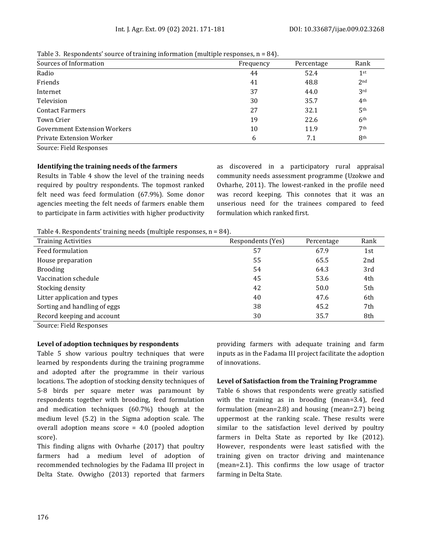| Frequency | Percentage | Rank            |
|-----------|------------|-----------------|
| 44        | 52.4       | 1 <sup>st</sup> |
| 41        | 48.8       | 2 <sub>nd</sub> |
| 37        | 44.0       | 3 <sup>rd</sup> |
| 30        | 35.7       | 4 <sup>th</sup> |
| 27        | 32.1       | 5 <sup>th</sup> |
| 19        | 22.6       | 6 <sup>th</sup> |
| 10        | 11.9       | 7 <sup>th</sup> |
| 6         | 7.1        | 8 <sup>th</sup> |
|           |            |                 |

Table 3. Respondents' source of training information (multiple responses,  $n = 84$ ).

Source: Field Responses

#### **Identifying the training needs of the farmers**

Results in Table 4 show the level of the training needs required by poultry respondents. The topmost ranked felt need was feed formulation (67.9%). Some donor agencies meeting the felt needs of farmers enable them to participate in farm activities with higher productivity as discovered in a participatory rural appraisal community needs assessment programme (Uzokwe and Ovharhe, 2011). The lowest-ranked in the profile need was record keeping. This connotes that it was an unserious need for the trainees compared to feed formulation which ranked first.

Table 4. Respondents' training needs (multiple responses, n = 84).

| <b>Training Activities</b>   | Respondents (Yes) | Percentage | Rank |
|------------------------------|-------------------|------------|------|
| Feed formulation             | 57                | 67.9       | 1st  |
| House preparation            | 55                | 65.5       | 2nd  |
| <b>Brooding</b>              | 54                | 64.3       | 3rd  |
| Vaccination schedule         | 45                | 53.6       | 4th  |
| Stocking density             | 42                | 50.0       | 5th  |
| Litter application and types | 40                | 47.6       | 6th  |
| Sorting and handling of eggs | 38                | 45.2       | 7th  |
| Record keeping and account   | 30                | 35.7       | 8th  |

Source: Field Responses

#### **Level of adoption techniques by respondents**

Table 5 show various poultry techniques that were learned by respondents during the training programme and adopted after the programme in their various locations. The adoption of stocking density techniques of 5-8 birds per square meter was paramount by respondents together with brooding, feed formulation and medication techniques (60.7%) though at the medium level (5.2) in the Sigma adoption scale. The overall adoption means score = 4.0 (pooled adoption score).

This finding aligns with Ovharhe (2017) that poultry farmers had a medium level of adoption of recommended technologies by the Fadama III project in Delta State. Ovwigho (2013) reported that farmers

providing farmers with adequate training and farm inputs as in the Fadama III project facilitate the adoption of innovations.

#### **Level of Satisfaction from the Training Programme**

Table 6 shows that respondents were greatly satisfied with the training as in brooding (mean=3.4), feed formulation (mean=2.8) and housing (mean=2.7) being uppermost at the ranking scale. These results were similar to the satisfaction level derived by poultry farmers in Delta State as reported by Ike (2012). However, respondents were least satisfied with the training given on tractor driving and maintenance (mean=2.1). This confirms the low usage of tractor farming in Delta State.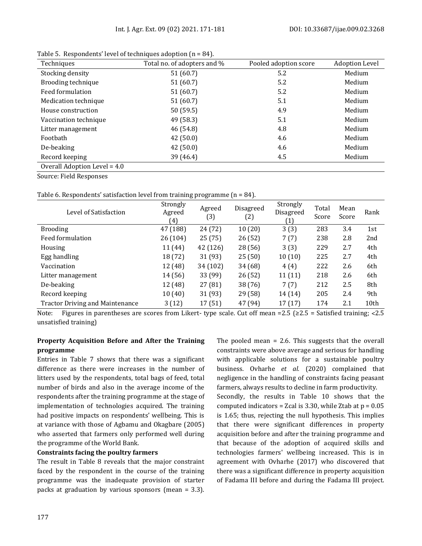| Techniques                   | Total no. of adopters and % | Pooled adoption score | <b>Adoption Level</b> |
|------------------------------|-----------------------------|-----------------------|-----------------------|
| Stocking density             | 51(60.7)                    | 5.2                   | Medium                |
| Brooding technique           | 51 (60.7)                   | 5.2                   | Medium                |
| Feed formulation             | 51 (60.7)                   | 5.2                   | Medium                |
| Medication technique         | 51 (60.7)                   | 5.1                   | Medium                |
| House construction           | 50(59.5)                    | 4.9                   | Medium                |
| Vaccination technique        | 49 (58.3)                   | 5.1                   | Medium                |
| Litter management            | 46 (54.8)                   | 4.8                   | Medium                |
| Footbath                     | 42(50.0)                    | 4.6                   | Medium                |
| De-beaking                   | 42 (50.0)                   | 4.6                   | Medium                |
| Record keeping               | 39 (46.4)                   | 4.5                   | Medium                |
| Overall Adoption Level = 4.0 |                             |                       |                       |

Table 5. Respondents' level of techniques adoption (n = 84).

Source: Field Responses

Table 6. Respondents' satisfaction level from training programme (n = 84).

| Level of Satisfaction                  | Strongly<br>Agreed<br>$\left(4\right)$ | Agreed<br>$\left( 3\right)$ | Disagreed<br>(2) | Strongly<br>Disagreed<br>(1) | Total<br>Score | Mean<br>Score | Rank |
|----------------------------------------|----------------------------------------|-----------------------------|------------------|------------------------------|----------------|---------------|------|
| <b>Brooding</b>                        | 47 (188)                               | 24 (72)                     | 10(20)           | 3(3)                         | 283            | 3.4           | 1st  |
| Feed formulation                       | 26 (104)                               | 25 (75)                     | 26(52)           | 7(7)                         | 238            | 2.8           | 2nd  |
| Housing                                | 11 (44)                                | 42 (126)                    | 28(56)           | 3(3)                         | 229            | 2.7           | 4th  |
| Egg handling                           | 18 (72)                                | 31(93)                      | 25(50)           | 10(10)                       | 225            | 2.7           | 4th  |
| Vaccination                            | 12 (48)                                | 34 (102)                    | 34 (68)          | 4(4)                         | 222            | 2.6           | 6th  |
| Litter management                      | 14 (56)                                | 33 (99)                     | 26(52)           | 11(11)                       | 218            | 2.6           | 6th  |
| De-beaking                             | 12 (48)                                | 27(81)                      | 38 (76)          | 7(7)                         | 212            | 2.5           | 8th  |
| Record keeping                         | 10(40)                                 | 31 (93)                     | 29(58)           | 14 (14)                      | 205            | 2.4           | 9th  |
| <b>Tractor Driving and Maintenance</b> | 3(12)                                  | 17 (51)                     | 47 (94)          | 17(17)                       | 174            | 2.1           | 10th |

Note: Figures in parentheses are scores from Likert- type scale. Cut off mean =2.5 (≥2.5 = Satisfied training; <2.5 unsatisfied training)

#### **Property Acquisition Before and After the Training programme**

Entries in Table 7 shows that there was a significant difference as there were increases in the number of litters used by the respondents, total bags of feed, total number of birds and also in the average income of the respondents after the training programme at the stage of implementation of technologies acquired. The training had positive impacts on respondents' wellbeing. This is at variance with those of Agbamu and Okagbare (2005) who asserted that farmers only performed well during the programme of the World Bank.

#### **Constraints facing the poultry farmers**

The result in Table 8 reveals that the major constraint faced by the respondent in the course of the training programme was the inadequate provision of starter packs at graduation by various sponsors (mean = 3.3). The pooled mean = 2.6. This suggests that the overall constraints were above average and serious for handling with applicable solutions for a sustainable poultry business. Ovharhe *et al.* (2020) complained that negligence in the handling of constraints facing peasant farmers, always results to decline in farm productivity.

Secondly, the results in Table 10 shows that the computed indicators = Zcal is 3.30, while Ztab at  $p = 0.05$ is 1.65; thus, rejecting the null hypothesis. This implies that there were significant differences in property acquisition before and after the training programme and that because of the adoption of acquired skills and technologies farmers' wellbeing increased. This is in agreement with Ovharhe (2017) who discovered that there was a significant difference in property acquisition of Fadama III before and during the Fadama III project.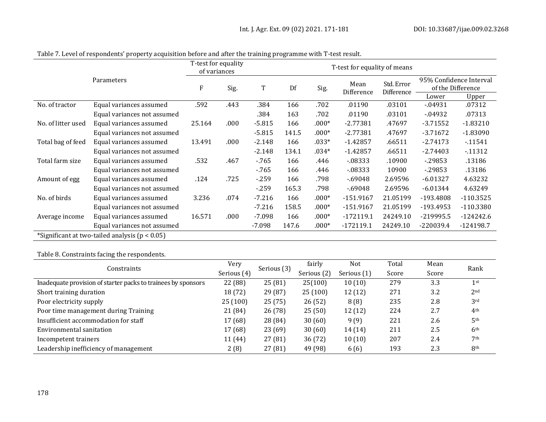|                    |                                                    | T-test for equality<br>T-test for equality of means<br>of variances |      |          |       |         |                    |                          |             |                                              |
|--------------------|----------------------------------------------------|---------------------------------------------------------------------|------|----------|-------|---------|--------------------|--------------------------|-------------|----------------------------------------------|
|                    | Parameters                                         | F                                                                   | Sig. | T        | Df    | Sig.    | Mean<br>Difference | Std. Error<br>Difference |             | 95% Confidence Interval<br>of the Difference |
|                    |                                                    |                                                                     |      |          |       |         |                    |                          | Lower       | Upper                                        |
| No. of tractor     | Equal variances assumed                            | .592                                                                | .443 | .384     | 166   | .702    | .01190             | .03101                   | $-04931$    | .07312                                       |
|                    | Equal variances not assumed                        |                                                                     |      | .384     | 163   | .702    | .01190             | .03101                   | $-04932$    | .07313                                       |
| No. of litter used | Equal variances assumed                            | 25.164                                                              | .000 | $-5.815$ | 166   | $.000*$ | $-2.77381$         | .47697                   | $-3.71552$  | $-1.83210$                                   |
|                    | Equal variances not assumed                        |                                                                     |      | $-5.815$ | 141.5 | $.000*$ | $-2.77381$         | .47697                   | $-3.71672$  | $-1.83090$                                   |
| Total bag of feed  | Equal variances assumed                            | 13.491                                                              | .000 | $-2.148$ | 166   | $.033*$ | $-1.42857$         | .66511                   | $-2.74173$  | $-11541$                                     |
|                    | Equal variances not assumed                        |                                                                     |      | $-2.148$ | 134.1 | $.034*$ | $-1.42857$         | .66511                   | $-2.74403$  | $-11312$                                     |
| Total farm size    | Equal variances assumed                            | .532                                                                | .467 | $-765$   | 166   | .446    | $-08333$           | .10900                   | $-29853$    | .13186                                       |
|                    | Equal variances not assumed                        |                                                                     |      | $-765$   | 166   | .446    | $-08333$           | 10900                    | $-29853$    | .13186                                       |
| Amount of egg      | Equal variances assumed                            | .124                                                                | .725 | $-259$   | 166   | .798    | $-69048$           | 2.69596                  | $-6.01327$  | 4.63232                                      |
|                    | Equal variances not assumed                        |                                                                     |      | $-259$   | 165.3 | .798    | $-69048$           | 2.69596                  | $-6.01344$  | 4.63249                                      |
| No. of birds       | Equal variances assumed                            | 3.236                                                               | .074 | $-7.216$ | 166   | $.000*$ | $-151.9167$        | 21.05199                 | -193.4808   | $-110.3525$                                  |
|                    | Equal variances not assumed                        |                                                                     |      | $-7.216$ | 158.5 | $.000*$ | -151.9167          | 21.05199                 | -193.4953   | $-110.3380$                                  |
| Average income     | Equal variances assumed                            | 16.571                                                              | .000 | $-7.098$ | 166   | $.000*$ | $-172119.1$        | 24249.10                 | $-219995.5$ | $-124242.6$                                  |
|                    | Equal variances not assumed                        |                                                                     |      | $-7.098$ | 147.6 | $.000*$ | $-172119.1$        | 24249.10                 | $-220039.4$ | $-124198.7$                                  |
|                    | *Significant at two-tailed analysis ( $p < 0.05$ ) |                                                                     |      |          |       |         |                    |                          |             |                                              |

Table 7. Level of respondents' property acquisition before and after the training programme with T-test result.

Table 8. Constraints facing the respondents.

| Constraints                                                   | Very        | Serious (3) | fairly<br>Not |             | Total | Mean  |                 |  |
|---------------------------------------------------------------|-------------|-------------|---------------|-------------|-------|-------|-----------------|--|
|                                                               | Serious (4) | Serious (2) |               | Serious (1) | Score | Score | Rank            |  |
| Inadequate provision of starter packs to trainees by sponsors | 22 (88)     | 25(81)      | 25(100)       | 10(10)      | 279   | 3.3   | 1 <sup>st</sup> |  |
| Short training duration                                       | 18 (72)     | 29(87)      | 25(100)       | 12(12)      | 271   | 3.2   | 2 <sub>nd</sub> |  |
| Poor electricity supply                                       | 25(100)     | 25(75)      | 26(52)        | 8(8)        | 235   | 2.8   | 3rd             |  |
| Poor time management during Training                          | 21 (84)     | 26(78)      | 25(50)        | 12 (12)     | 224   | 2.7   | 4 <sup>th</sup> |  |
| Insufficient accommodation for staff                          | 17 (68)     | 28 (84)     | 30(60)        | 9(9)        | 221   | 2.6   | 5 <sup>th</sup> |  |
| Environmental sanitation                                      | 17 (68)     | 23(69)      | 30(60)        | 14 (14)     | 211   | 2.5   | 6 <sup>th</sup> |  |
| Incompetent trainers                                          | 11 (44)     | 27(81)      | 36(72)        | 10(10)      | 207   | 2.4   | 7 <sup>th</sup> |  |
| Leadership inefficiency of management                         | 2(8)        | 27(81)      | 49 (98)       | 6(6)        | 193   | 2.3   | 8 <sup>th</sup> |  |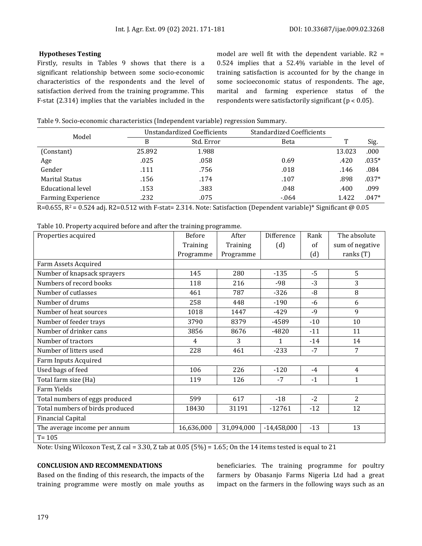#### **Hypotheses Testing**

Firstly, results in Tables 9 shows that there is a significant relationship between some socio-economic characteristics of the respondents and the level of satisfaction derived from the training programme. This F-stat (2.314) implies that the variables included in the

model are well fit with the dependent variable. R2 = 0.524 implies that a 52.4% variable in the level of training satisfaction is accounted for by the change in some socioeconomic status of respondents. The age, marital and farming experience status of the respondents were satisfactorily significant ( $p < 0.05$ ).

| Table 9. Socio-economic characteristics (Independent variable) regression Summary. |  |
|------------------------------------------------------------------------------------|--|
|                                                                                    |  |
|                                                                                    |  |

| Model                     |        | Unstandardized Coefficients | <b>Standardized Coefficients</b> |        |         |
|---------------------------|--------|-----------------------------|----------------------------------|--------|---------|
|                           | В      | Std. Error                  | Beta                             | T      | Sig.    |
| (Constant)                | 25.892 | 1.988                       |                                  | 13.023 | .000    |
| Age                       | .025   | .058                        | 0.69                             | .420   | $.035*$ |
| Gender                    | .111   | .756                        | .018                             | .146   | .084    |
| <b>Marital Status</b>     | .156   | .174                        | .107                             | .898   | $.037*$ |
| Educational level         | .153   | .383                        | .048                             | .400   | .099    |
| <b>Farming Experience</b> | .232   | .075                        | $-064$                           | 1.422  | $.047*$ |

R=0.655, R<sup>2</sup> = 0.524 adj. R2=0.512 with F-stat= 2.314. Note: Satisfaction (Dependent variable)\* Significant @ 0.05

Table 10. Property acquired before and after the training programme.

| Properties acquired             | <b>Before</b> | After      | Difference    | Rank       | The absolute    |
|---------------------------------|---------------|------------|---------------|------------|-----------------|
|                                 | Training      | Training   | (d)           | $\alpha$ f | sum of negative |
|                                 | Programme     | Programme  |               | (d)        | ranks $(T)$     |
| Farm Assets Acquired            |               |            |               |            |                 |
| Number of knapsack sprayers     | 145           | 280        | $-135$        | $-5$       | 5               |
| Numbers of record books         | 118           | 216        | $-98$         | $-3$       | 3               |
| Number of cutlasses             | 461           | 787        | $-326$        | $-8$       | 8               |
| Number of drums                 | 258           | 448        | $-190$        | $-6$       | 6               |
| Number of heat sources          | 1018          | 1447       | $-429$        | $-9$       | 9               |
| Number of feeder trays          | 3790          | 8379       | -4589         | $-10$      | 10              |
| Number of drinker cans          | 3856          | 8676       | $-4820$       | $-11$      | 11              |
| Number of tractors              | 4             | 3          | $\mathbf{1}$  | $-14$      | 14              |
| Number of litters used          | 228           | 461        | $-233$        | $-7$       | 7               |
| Farm Inputs Acquired            |               |            |               |            |                 |
| Used bags of feed               | 106           | 226        | $-120$        | $-4$       | $\overline{4}$  |
| Total farm size (Ha)            | 119           | 126        | $-7$          | $-1$       | $\mathbf{1}$    |
| Farm Yields                     |               |            |               |            |                 |
| Total numbers of eggs produced  | 599           | 617        | $-18$         | $-2$       | $\overline{2}$  |
| Total numbers of birds produced | 18430         | 31191      | $-12761$      | $-12$      | 12              |
| <b>Financial Capital</b>        |               |            |               |            |                 |
| The average income per annum    | 16,636,000    | 31,094,000 | $-14,458,000$ | $-13$      | 13              |
| $T = 105$                       |               |            |               |            |                 |

Note: Using Wilcoxon Test, Z cal = 3.30, Z tab at  $0.05$  (5%) = 1.65; On the 14 items tested is equal to 21

#### **CONCLUSION AND RECOMMENDATIONS**

Based on the finding of this research, the impacts of the training programme were mostly on male youths as beneficiaries. The training programme for poultry farmers by Obasanjo Farms Nigeria Ltd had a great impact on the farmers in the following ways such as an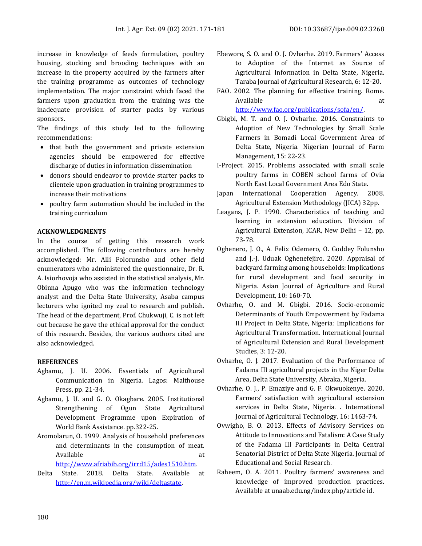increase in knowledge of feeds formulation, poultry housing, stocking and brooding techniques with an increase in the property acquired by the farmers after the training programme as outcomes of technology implementation. The major constraint which faced the farmers upon graduation from the training was the inadequate provision of starter packs by various sponsors.

The findings of this study led to the following recommendations:

- that both the government and private extension agencies should be empowered for effective discharge of duties in information dissemination
- donors should endeavor to provide starter packs to clientele upon graduation in training programmes to increase their motivations
- poultry farm automation should be included in the training curriculum

### **ACKNOWLEDGMENTS**

In the course of getting this research work accomplished. The following contributors are hereby acknowledged: Mr. Alli Folorunsho and other field enumerators who administered the questionnaire, Dr. R. A. Isiorhovoja who assisted in the statistical analysis, Mr. Obinna Apugo who was the information technology analyst and the Delta State University, Asaba campus lecturers who ignited my zeal to research and publish. The head of the department, Prof. Chukwuji, C. is not left out because he gave the ethical approval for the conduct of this research. Besides, the various authors cited are also acknowledged.

#### **REFERENCES**

- Agbamu, J. U. 2006. Essentials of Agricultural Communication in Nigeria. Lagos: Malthouse Press, pp. 21-34.
- Agbamu, J. U. and G. O. Okagbare. 2005. Institutional Strengthening of Ogun State Agricultural Development Programme upon Expiration of World Bank Assistance. pp.322-25.
- Aromolarun, O. 1999. Analysis of household preferences and determinants in the consumption of meat. Available at a state at the state at a state at a state at a state at a state at a state at a state at a state  $\alpha$

[http://www.afriabib.org/irrd15/ades1510.htm.](http://www.afriabib.org/irrd15/ades1510.htm) 

Delta State. 2018. Delta State. Available at [http://en.m.wikipedia.org/wiki/deltastate.](http://en.m.wikipedia.org/wiki/deltastate)

- Ebewore, S. O. and O. J. Ovharhe. 2019. Farmers' Access to Adoption of the Internet as Source of Agricultural Information in Delta State, Nigeria. Taraba Journal of Agricultural Research, 6: 12-20.
- FAO. 2002. The planning for effective training. Rome. Available at a strategies at a strategies at a strategies at a strategies at a strategies at a strategies at a [http://www.fao.org/publications/sofa/en/.](http://www.fao.org/publications/sofa/en/)
- Gbigbi, M. T. and O. J. Ovharhe. 2016. Constraints to Adoption of New Technologies by Small Scale Farmers in Bomadi Local Government Area of Delta State, Nigeria. Nigerian Journal of Farm Management, 15: 22-23.
- I-Project. 2015. Problems associated with small scale poultry farms in COBEN school farms of Ovia North East Local Government Area Edo State.
- Japan International Cooperation Agency. 2008. Agricultural Extension Methodology (JICA) 32pp.
- Leagans, J. P. 1990. Characteristics of teaching and learning in extension education. Division of Agricultural Extension, ICAR, New Delhi – 12, pp. 73-78.
- Oghenero, J. O., A. Felix Odemero, O. Goddey Folunsho and J.-J. Uduak Oghenefejiro. 2020. Appraisal of backyard farming among households: Implications for rural development and food security in Nigeria. Asian Journal of Agriculture and Rural Development, 10: 160-70.
- Ovharhe, O. and M. Gbigbi. 2016. Socio-economic Determinants of Youth Empowerment by Fadama III Project in Delta State, Nigeria: Implications for Agricultural Transformation. International Journal of Agricultural Extension and Rural Development Studies, 3: 12-20.
- Ovharhe, O. J. 2017. Evaluation of the Performance of Fadama III agricultural projects in the Niger Delta Area, Delta State University, Abraka, Nigeria.
- Ovharhe, O. J., P. Emaziye and G. F. Okwuokenye. 2020. Farmers' satisfaction with agricultural extension services in Delta State, Nigeria. . International Journal of Agricultural Technology, 16: 1463-74.
- Ovwigho, B. O. 2013. Effects of Advisory Services on Attitude to Innovations and Fatalism: A Case Study of the Fadama III Participants in Delta Central Senatorial District of Delta State Nigeria. Journal of Educational and Social Research.
- Raheem, O. A. 2011. Poultry farmers' awareness and knowledge of improved production practices. Available at unaab.edu.ng/index.php/article id.